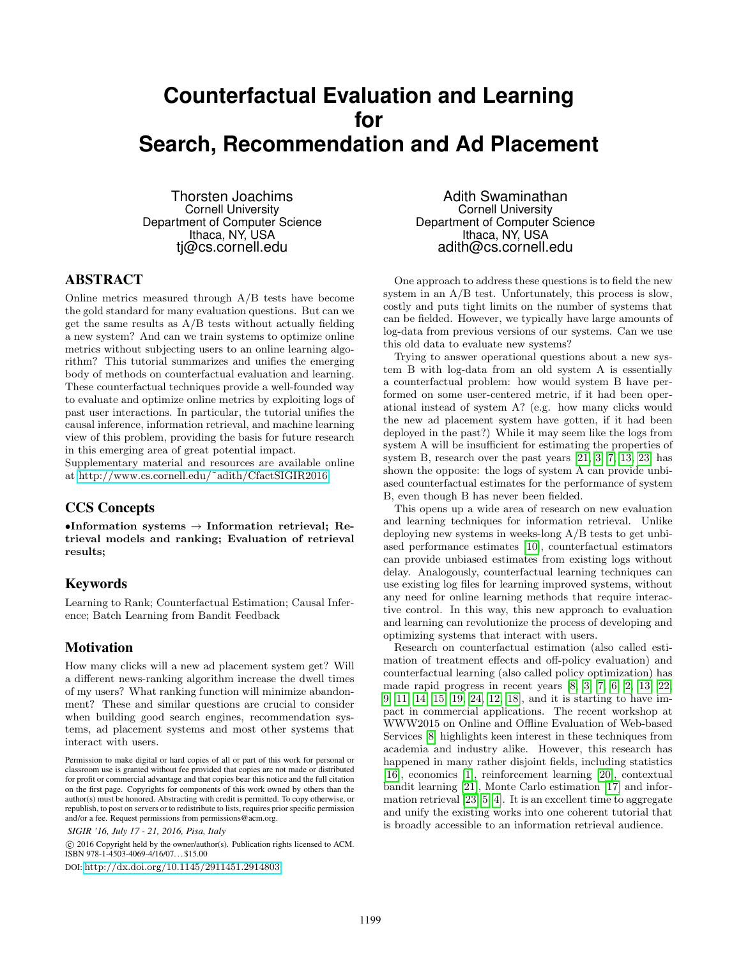# **Counterfactual Evaluation and Learning for Search, Recommendation and Ad Placement**

Thorsten Joachims Cornell University Department of Computer Science Ithaca, NY, USA tj@cs.cornell.edu

# ABSTRACT

Online metrics measured through A/B tests have become the gold standard for many evaluation questions. But can we get the same results as  $A/B$  tests without actually fielding a new system? And can we train systems to optimize online metrics without subjecting users to an online learning algorithm? This tutorial summarizes and unifies the emerging body of methods on counterfactual evaluation and learning. These counterfactual techniques provide a well-founded way to evaluate and optimize online metrics by exploiting logs of past user interactions. In particular, the tutorial unifies the causal inference, information retrieval, and machine learning view of this problem, providing the basis for future research in this emerging area of great potential impact.

Supplementary material and resources are available online at [http://www.cs.cornell.edu/˜adith/CfactSIGIR2016.](http://www.cs.cornell.edu/~adith/CfactSIGIR2016)

# CCS Concepts

 $\bullet$ Information systems  $\to$  Information retrieval; Retrieval models and ranking; Evaluation of retrieval results;

## Keywords

Learning to Rank; Counterfactual Estimation; Causal Inference; Batch Learning from Bandit Feedback

## Motivation

How many clicks will a new ad placement system get? Will a different news-ranking algorithm increase the dwell times of my users? What ranking function will minimize abandonment? These and similar questions are crucial to consider when building good search engines, recommendation systems, ad placement systems and most other systems that interact with users.

```
SIGIR '16, July 17 - 21, 2016, Pisa, Italy
```
 c 2016 Copyright held by the owner/author(s). Publication rights licensed to ACM. ISBN 978-1-4503-4069-4/16/07. . . \$15.00 DOI: <http://dx.doi.org/10.1145/2911451.2914803>

Adith Swaminathan Cornell University Department of Computer Science Ithaca, NY, USA adith@cs.cornell.edu

One approach to address these questions is to field the new system in an  $A/B$  test. Unfortunately, this process is slow, costly and puts tight limits on the number of systems that can be fielded. However, we typically have large amounts of log-data from previous versions of our systems. Can we use this old data to evaluate new systems?

Trying to answer operational questions about a new system B with log-data from an old system A is essentially a counterfactual problem: how would system B have performed on some user-centered metric, if it had been operational instead of system A? (e.g. how many clicks would the new ad placement system have gotten, if it had been deployed in the past?) While it may seem like the logs from system A will be insufficient for estimating the properties of system B, research over the past years [\[21,](#page-2-0) [3,](#page-1-0) [7,](#page-1-1) [13,](#page-1-2) [23\]](#page-2-1) has shown the opposite: the logs of system A can provide unbiased counterfactual estimates for the performance of system B, even though B has never been fielded.

This opens up a wide area of research on new evaluation and learning techniques for information retrieval. Unlike deploying new systems in weeks-long A/B tests to get unbiased performance estimates [\[10\]](#page-1-3), counterfactual estimators can provide unbiased estimates from existing logs without delay. Analogously, counterfactual learning techniques can use existing log files for learning improved systems, without any need for online learning methods that require interactive control. In this way, this new approach to evaluation and learning can revolutionize the process of developing and optimizing systems that interact with users.

Research on counterfactual estimation (also called estimation of treatment effects and off-policy evaluation) and counterfactual learning (also called policy optimization) has made rapid progress in recent years [\[8,](#page-1-4) [3,](#page-1-0) [7,](#page-1-1) [6,](#page-1-5) [2,](#page-1-6) [13,](#page-1-2) [22,](#page-2-2) [9,](#page-1-7) [11,](#page-1-8) [14,](#page-1-9) [15,](#page-2-3) [19,](#page-2-4) [24,](#page-2-5) [12,](#page-1-10) [18\]](#page-2-6), and it is starting to have impact in commercial applications. The recent workshop at WWW2015 on Online and Offline Evaluation of Web-based Services [\[8\]](#page-1-4) highlights keen interest in these techniques from academia and industry alike. However, this research has happened in many rather disjoint fields, including statistics [\[16\]](#page-2-7), economics [\[1\]](#page-1-11), reinforcement learning [\[20\]](#page-2-8), contextual bandit learning [\[21\]](#page-2-0), Monte Carlo estimation [\[17\]](#page-2-9) and information retrieval [\[23,](#page-2-1) [5,](#page-1-12) [4\]](#page-1-13). It is an excellent time to aggregate and unify the existing works into one coherent tutorial that is broadly accessible to an information retrieval audience.

Permission to make digital or hard copies of all or part of this work for personal or classroom use is granted without fee provided that copies are not made or distributed for profit or commercial advantage and that copies bear this notice and the full citation on the first page. Copyrights for components of this work owned by others than the author(s) must be honored. Abstracting with credit is permitted. To copy otherwise, or republish, to post on servers or to redistribute to lists, requires prior specific permission and/or a fee. Request permissions from permissions@acm.org.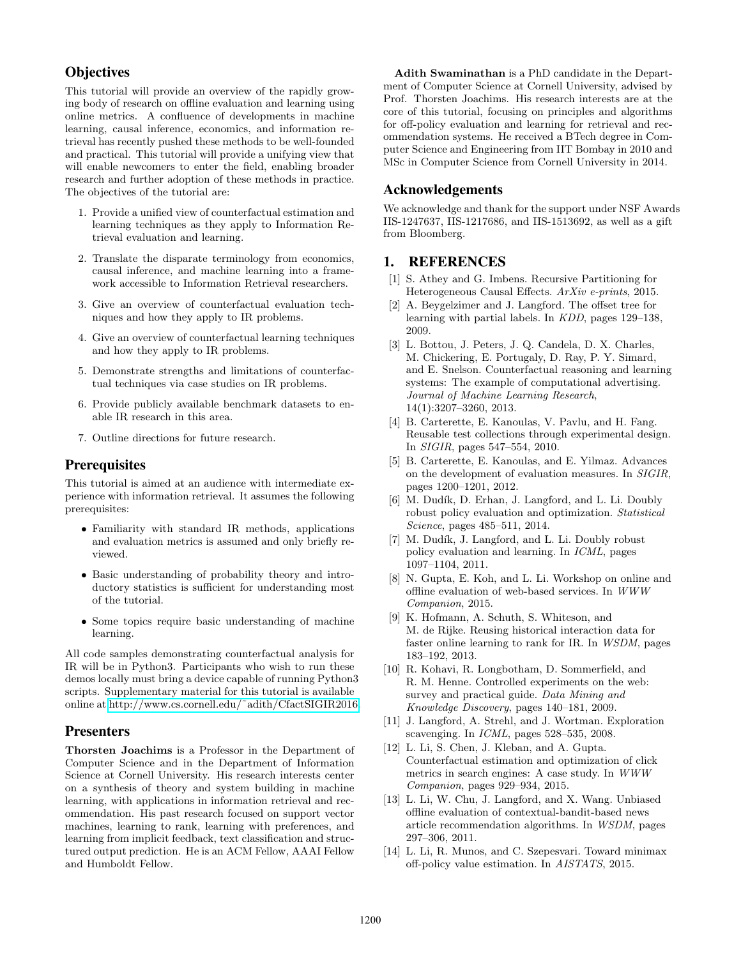# **Objectives**

This tutorial will provide an overview of the rapidly growing body of research on offline evaluation and learning using online metrics. A confluence of developments in machine learning, causal inference, economics, and information retrieval has recently pushed these methods to be well-founded and practical. This tutorial will provide a unifying view that will enable newcomers to enter the field, enabling broader research and further adoption of these methods in practice. The objectives of the tutorial are:

- 1. Provide a unified view of counterfactual estimation and learning techniques as they apply to Information Retrieval evaluation and learning.
- 2. Translate the disparate terminology from economics, causal inference, and machine learning into a framework accessible to Information Retrieval researchers.
- 3. Give an overview of counterfactual evaluation techniques and how they apply to IR problems.
- 4. Give an overview of counterfactual learning techniques and how they apply to IR problems.
- 5. Demonstrate strengths and limitations of counterfactual techniques via case studies on IR problems.
- 6. Provide publicly available benchmark datasets to enable IR research in this area.
- 7. Outline directions for future research.

## **Prerequisites**

This tutorial is aimed at an audience with intermediate experience with information retrieval. It assumes the following prerequisites:

- Familiarity with standard IR methods, applications and evaluation metrics is assumed and only briefly reviewed.
- Basic understanding of probability theory and introductory statistics is sufficient for understanding most of the tutorial.
- Some topics require basic understanding of machine learning.

All code samples demonstrating counterfactual analysis for IR will be in Python3. Participants who wish to run these demos locally must bring a device capable of running Python3 scripts. Supplementary material for this tutorial is available online at [http://www.cs.cornell.edu/˜adith/CfactSIGIR2016.](http://www.cs.cornell.edu/~adith/CfactSIGIR2016)

## Presenters

Thorsten Joachims is a Professor in the Department of Computer Science and in the Department of Information Science at Cornell University. His research interests center on a synthesis of theory and system building in machine learning, with applications in information retrieval and recommendation. His past research focused on support vector machines, learning to rank, learning with preferences, and learning from implicit feedback, text classification and structured output prediction. He is an ACM Fellow, AAAI Fellow and Humboldt Fellow.

Adith Swaminathan is a PhD candidate in the Department of Computer Science at Cornell University, advised by Prof. Thorsten Joachims. His research interests are at the core of this tutorial, focusing on principles and algorithms for off-policy evaluation and learning for retrieval and recommendation systems. He received a BTech degree in Computer Science and Engineering from IIT Bombay in 2010 and MSc in Computer Science from Cornell University in 2014.

## Acknowledgements

We acknowledge and thank for the support under NSF Awards IIS-1247637, IIS-1217686, and IIS-1513692, as well as a gift from Bloomberg.

### 1. REFERENCES

- <span id="page-1-11"></span>[1] S. Athey and G. Imbens. Recursive Partitioning for Heterogeneous Causal Effects. ArXiv e-prints, 2015.
- <span id="page-1-6"></span>[2] A. Beygelzimer and J. Langford. The offset tree for learning with partial labels. In KDD, pages 129–138, 2009.
- <span id="page-1-0"></span>[3] L. Bottou, J. Peters, J. Q. Candela, D. X. Charles, M. Chickering, E. Portugaly, D. Ray, P. Y. Simard, and E. Snelson. Counterfactual reasoning and learning systems: The example of computational advertising. Journal of Machine Learning Research, 14(1):3207–3260, 2013.
- <span id="page-1-13"></span>[4] B. Carterette, E. Kanoulas, V. Pavlu, and H. Fang. Reusable test collections through experimental design. In SIGIR, pages 547–554, 2010.
- <span id="page-1-12"></span>[5] B. Carterette, E. Kanoulas, and E. Yilmaz. Advances on the development of evaluation measures. In SIGIR, pages 1200–1201, 2012.
- <span id="page-1-5"></span>[6] M. Dudík, D. Erhan, J. Langford, and L. Li. Doubly robust policy evaluation and optimization. Statistical Science, pages 485–511, 2014.
- <span id="page-1-1"></span>[7] M. Dudík, J. Langford, and L. Li. Doubly robust policy evaluation and learning. In ICML, pages 1097–1104, 2011.
- <span id="page-1-4"></span>[8] N. Gupta, E. Koh, and L. Li. Workshop on online and offline evaluation of web-based services. In WWW Companion, 2015.
- <span id="page-1-7"></span>[9] K. Hofmann, A. Schuth, S. Whiteson, and M. de Rijke. Reusing historical interaction data for faster online learning to rank for IR. In WSDM, pages 183–192, 2013.
- <span id="page-1-3"></span>[10] R. Kohavi, R. Longbotham, D. Sommerfield, and R. M. Henne. Controlled experiments on the web: survey and practical guide. Data Mining and Knowledge Discovery, pages 140–181, 2009.
- <span id="page-1-8"></span>[11] J. Langford, A. Strehl, and J. Wortman. Exploration scavenging. In *ICML*, pages 528–535, 2008.
- <span id="page-1-10"></span>[12] L. Li, S. Chen, J. Kleban, and A. Gupta. Counterfactual estimation and optimization of click metrics in search engines: A case study. In WWW Companion, pages 929–934, 2015.
- <span id="page-1-2"></span>[13] L. Li, W. Chu, J. Langford, and X. Wang. Unbiased offline evaluation of contextual-bandit-based news article recommendation algorithms. In WSDM, pages 297–306, 2011.
- <span id="page-1-9"></span>[14] L. Li, R. Munos, and C. Szepesvari. Toward minimax off-policy value estimation. In AISTATS, 2015.